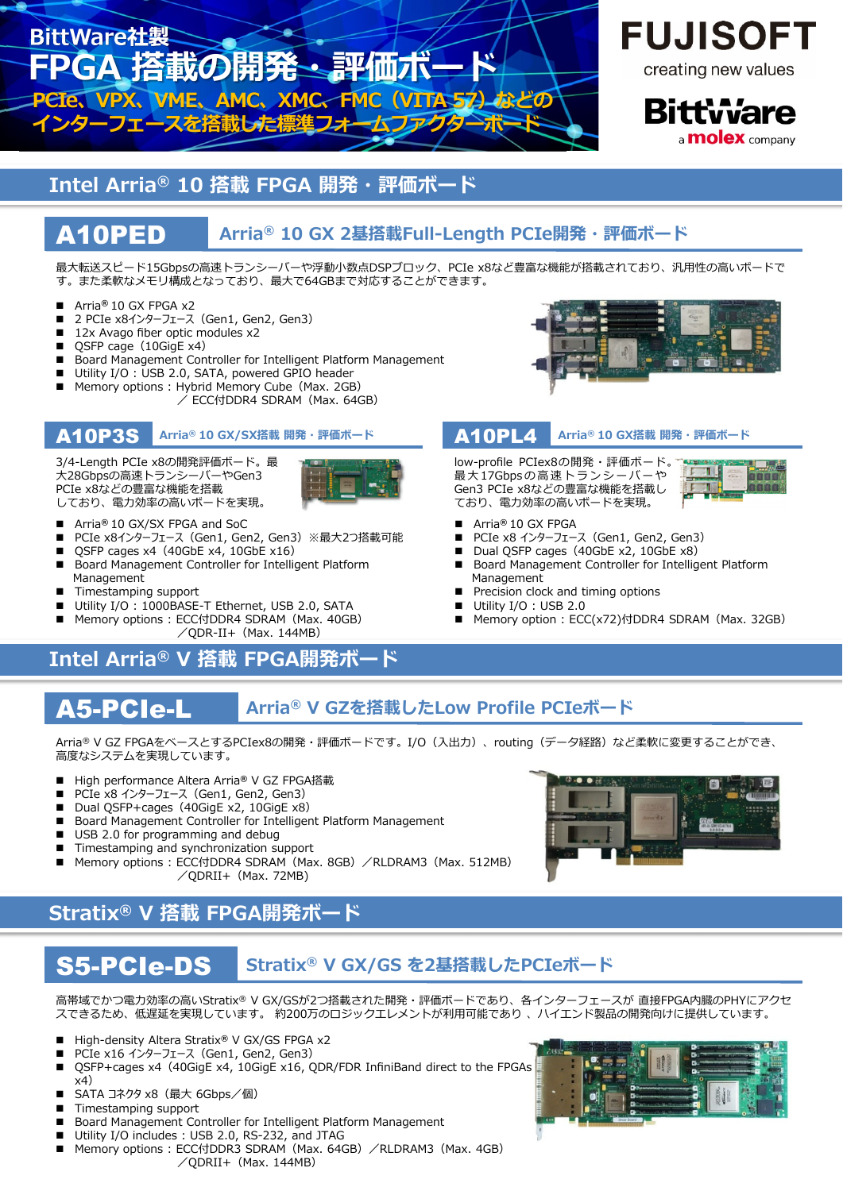

# **FUJISOFT**

creating new values

**Bittware** a **molex** company

## **Intel Arria® 10 搭載 FPGA 開発・評価ボード**

### A10PED **Arria® 10 GX 2基搭載Full-Length PCIe開発・評価ボード**

最大転送スピード15Gbpsの高速トランシーバーや浮動小数点DSPブロック、PCIe x8など豊富な機能が搭載されており、汎用性の高いボードで す。また柔軟なメモリ構成となっており、最⼤で64GBまで対応することができます。

- Arria<sup>®</sup> 10 GX FPGA x2
- 2 PCIe x8インターフェース (Gen1, Gen2, Gen3)
- 12x Avago fiber optic modules x2
- QSFP cage (10GigE x4)
- Board Management Controller for Intelligent Platform Management
- Utility I/O : USB 2.0, SATA, powered GPIO header
- Memory options : Hybrid Memory Cube (Max. 2GB)
	- / ECC付DDR4 SDRAM(Max. 64GB)

## A10P3S **Arria® 10 GX/SX搭載 開発・評価ボード**

3/4-Length PCIe x8の開発評価ボード。最 ⼤28Gbpsの⾼速トランシーバーやGen3 PCIe x8などの豊富な機能を搭載 しており、電⼒効率の⾼いボードを実現。



- Arria**®** 10 GX/SX FPGA and SoC
- PCIe x8インターフェース (Gen1, Gen2, Gen3) ※最大2つ搭載可能
- QSFP cages x4(40GbE x4, 10GbE x16)
- Board Management Controller for Intelligent Platform Management
- Timestamping support
- Utility I/O : 1000BASE-T Ethernet, USB 2.0, SATA
- Memory options: ECC付DDR4 SDRAM (Max. 40GB)
- $\sqrt{QDR-II+ (Max. 144MB)}$

## **Intel Arria® V 搭載 FPGA開発ボード**



## A10PL4 **Arria® 10 GX搭載 開発・評価ボード**

low-profile PCIex8の開発・評価ボード。 最⼤ 17Gbpsの⾼速トランシーバーや Gen3 PCIe x8などの豊富な機能を搭載し ており、電⼒効率の⾼いボードを実現。

- ना <u>त त</u>ा
- Arria**®** 10 GX FPGA
- PCIe x8 インターフェース (Gen1, Gen2, Gen3)
- Dual QSFP cages (40GbE x2, 10GbE x8)
- Board Management Controller for Intelligent Platform Management
- Precision clock and timing options
- Utility I/O : USB 2.0
- Memory option: ECC(x72)付DDR4 SDRAM (Max. 32GB)

### A5-PCIe-L **Arria® V GZを搭載したLow Profile PCIeボード**

Arria® V GZ FPGAをベースとするPCIex8の開発・評価ボードです。I/O (入出力)、routing(データ経路)など柔軟に変更することができ、 ⾼度なシステムを実現しています。

- High performance Altera Arria<sup>®</sup> V GZ FPGA搭載
- PCIe x8 インターフェース (Gen1, Gen2, Gen3)
- Dual QSFP+cages (40GigE x2, 10GigE x8)
- Board Management Controller for Intelligent Platform Management
- USB 2.0 for programming and debug
- Timestamping and synchronization support
- Memory options : ECC付DDR4 SDRAM (Max. 8GB) /RLDRAM3 (Max. 512MB)  $\angle$ QDRII+ (Max. 72MB)

## **Stratix® V 搭載 FPGA開発ボード**

### S5-PCIe-DS **Stratix® V GX/GS を2基搭載したPCIeボード**

高帯域でかつ電力効率の高いStratix® V GX/GSが2つ搭載された開発・評価ボードであり、各インターフェースが 直接FPGA内臓のPHYにアクセ スできるため、低遅延を実現しています。 約200万のロジックエレメントが利用可能であり 、ハイエンド製品の開発向けに提供しています。

- High-density Altera Stratix<sup>®</sup> V GX/GS FPGA x2
- PCIe x16 インターフェース (Gen1, Gen2, Gen3)
- QSFP+cages x4(40GigE x4, 10GigE x16, QDR/FDR InfiniBand direct to the FPGAs  $x<sup>4</sup>$ )
- SATA コネクタ x8 (最大 6Gbps/個)
- Timestamping support
- Board Management Controller for Intelligent Platform Management
- Utility I/O includes: USB 2.0, RS-232, and JTAG
- Memory options : ECC付DDR3 SDRAM (Max. 64GB) /RLDRAM3 (Max. 4GB)  $\angle$ QDRII+ (Max. 144MB)